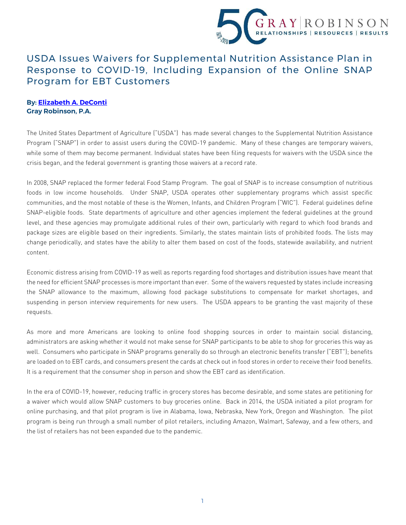

## USDA Issues Waivers for Supplemental Nutrition Assistance Plan in Response to COVID-19, Including Expansion of the Online SNAP Program for EBT Customers

## **By: [Elizabeth A. DeConti](http://www.gray-robinson.com/attorneys-professionals/elizabeth-a-deconti) Gray Robinson, P.A.**

The United States Department of Agriculture ("USDA") has made several changes to the Supplemental Nutrition Assistance Program ("SNAP") in order to assist users during the COVID-19 pandemic. Many of these changes are temporary waivers, while some of them may become permanent. Individual states have been filing requests for waivers with the USDA since the crisis began, and the federal government is granting those waivers at a record rate.

In 2008, SNAP replaced the former federal Food Stamp Program. The goal of SNAP is to increase consumption of nutritious foods in low income households. Under SNAP, USDA operates other supplementary programs which assist specific communities, and the most notable of these is the Women, Infants, and Children Program ("WIC"). Federal guidelines define SNAP-eligible foods. State departments of agriculture and other agencies implement the federal guidelines at the ground level, and these agencies may promulgate additional rules of their own, particularly with regard to which food brands and package sizes are eligible based on their ingredients. Similarly, the states maintain lists of prohibited foods. The lists may change periodically, and states have the ability to alter them based on cost of the foods, statewide availability, and nutrient content.

Economic distress arising from COVID-19 as well as reports regarding food shortages and distribution issues have meant that the need for efficient SNAP processes is more important than ever. Some of the waivers requested by states include increasing the SNAP allowance to the maximum, allowing food package substitutions to compensate for market shortages, and suspending in person interview requirements for new users. The USDA appears to be granting the vast majority of these requests.

As more and more Americans are looking to online food shopping sources in order to maintain social distancing, administrators are asking whether it would not make sense for SNAP participants to be able to shop for groceries this way as well. Consumers who participate in SNAP programs generally do so through an electronic benefits transfer ("EBT"); benefits are loaded on to EBT cards, and consumers present the cards at check out in food stores in order to receive their food benefits. It is a requirement that the consumer shop in person and show the EBT card as identification.

In the era of COVID-19, however, reducing traffic in grocery stores has become desirable, and some states are petitioning for a waiver which would allow SNAP customers to buy groceries online. Back in 2014, the USDA initiated a pilot program for online purchasing, and that pilot program is live in Alabama, Iowa, Nebraska, New York, Oregon and Washington. The pilot program is being run through a small number of pilot retailers, including Amazon, Walmart, Safeway, and a few others, and the list of retailers has not been expanded due to the pandemic.